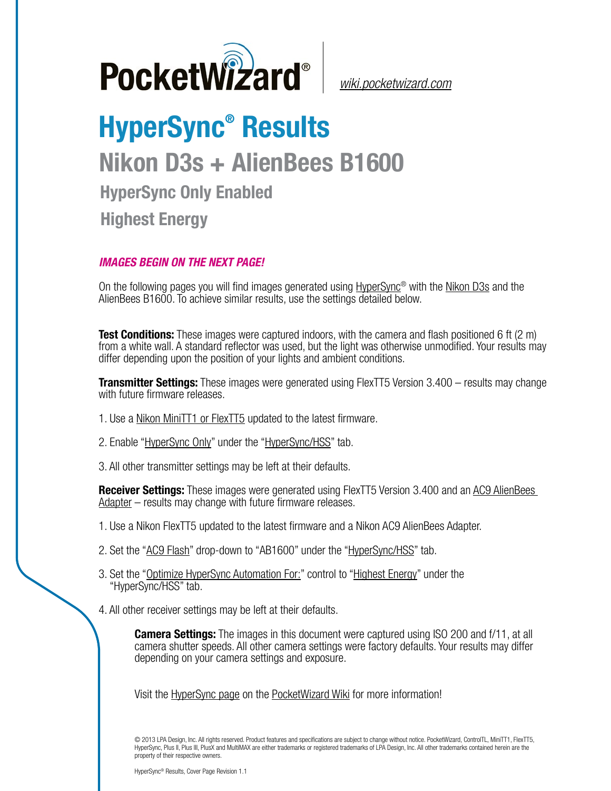

*[wiki.pocketwizard.com](http://wiki.pocketwizard.com/)*

## **HyperSync® Results Nikon D3s + AlienBees B1600 HyperSync Only Enabled Highest Energy**

## *IMAGES BEGIN ON THE NEXT PAGE!*

On the following pages you will find images generated using [HyperSync](http://wiki.pocketwizard.com/index.php?title=Hypersync)® with the [Nikon D3s](http://wiki.pocketwizard.com/index.php?title=Nikon_D3s) and the AlienBees B1600. To achieve similar results, use the settings detailed below.

**Test Conditions:** These images were captured indoors, with the camera and flash positioned 6 ft (2 m) from a white wall. A standard reflector was used, but the light was otherwise unmodified. Your results may differ depending upon the position of your lights and ambient conditions.

**Transmitter Settings:** These images were generated using FlexTT5 Version 3.400 – results may change with future firmware releases.

- 1. Use a [Nikon MiniTT1 or FlexTT5](http://wiki.pocketwizard.com/index.php?title=MiniTT1_and_FlexTT5) updated to the latest firmware.
- 2. Enable ["HyperSync Only"](http://wiki.pocketwizard.com/index.php?title=Hypersync_hss_tab#HyperSync_Only_.28Disable_HSS.2FFP.29) under the "[HyperSync/HSS"](http://wiki.pocketwizard.com/index.php?title=Hypersync_hss_tab) tab.
- 3. All other transmitter settings may be left at their defaults.

**Receiver Settings:** These images were generated using FlexTT5 Version 3.400 and an [AC9 AlienBees](http://wiki.pocketwizard.com/index.php?title=AC9_AlienBees_Adapter)  [Adapter](http://wiki.pocketwizard.com/index.php?title=AC9_AlienBees_Adapter) – results may change with future firmware releases.

- 1. Use a Nikon [FlexTT5](http://wiki.pocketwizard.com/index.php?title=Canon_MiniTT1_and_FlexTT5) updated to the latest firmware and a Nikon AC9 AlienBees Adapter.
- 2. Set the "[AC9 Flash](http://wiki.pocketwizard.com/index.php?title=HyperSync/HSS_Tab#AC9_Flash)" drop-down to "AB1600" under the ["HyperSync/HSS](http://wiki.pocketwizard.com/index.php?title=Hypersync_hss_tab)" tab.
- 3. Set the "[Optimize HyperSync Automation For:](http://wiki.pocketwizard.com/index.php?title=HyperSync/HSS_Tab#Optimize_HyperSync_Automation_For:)" control to ["Highest Energy"](http://wiki.pocketwizard.com/index.php?title=HyperSync/HSS_Tab#Optimize_HyperSync_Automation_For:) under the "HyperSync/HSS" tab.
- 4. All other receiver settings may be left at their defaults.

**Camera Settings:** The images in this document were captured using ISO 200 and f/11, at all camera shutter speeds. All other camera settings were factory defaults. Your results may differ depending on your camera settings and exposure.

Visit the [HyperSync page](http://wiki.pocketwizard.com/index.php?title=Hypersync) on the [PocketWizard Wiki](http://wiki.pocketwizard.com/) for more information!

© 2013 LPA Design, Inc. All rights reserved. Product features and specifications are subject to change without notice. PocketWizard, ControlTL, MiniTT1, FlexTT5, HyperSync, Plus II, Plus III, PlusX and MultiMAX are either trademarks or registered trademarks of LPA Design, Inc. All other trademarks contained herein are the property of their respective owners.

HyperSync® Results, Cover Page Revision 1.1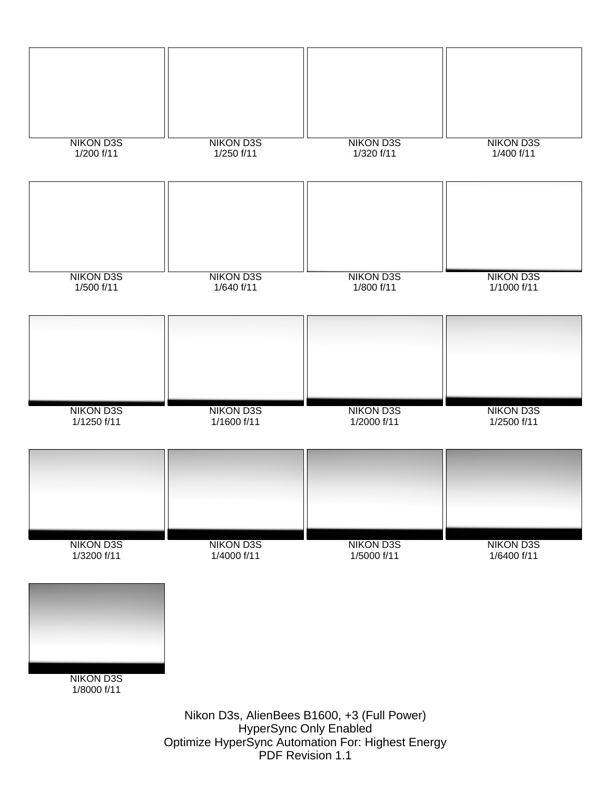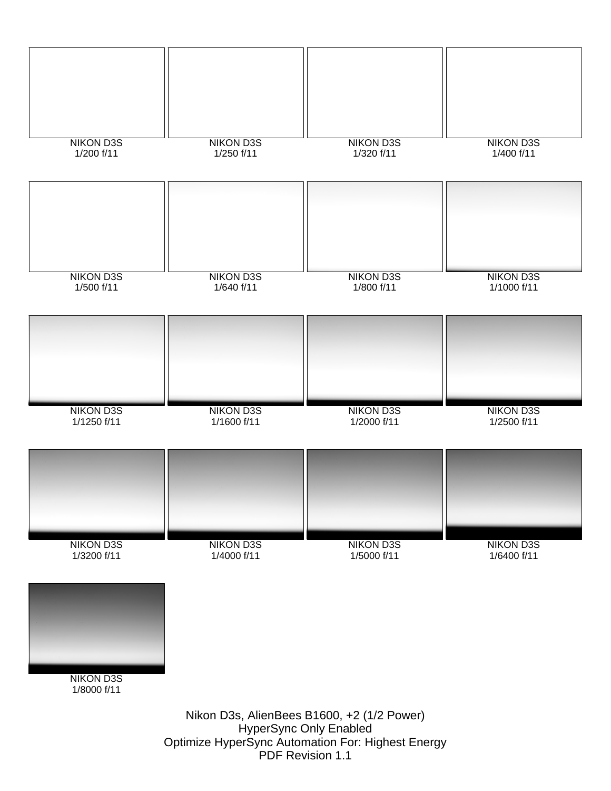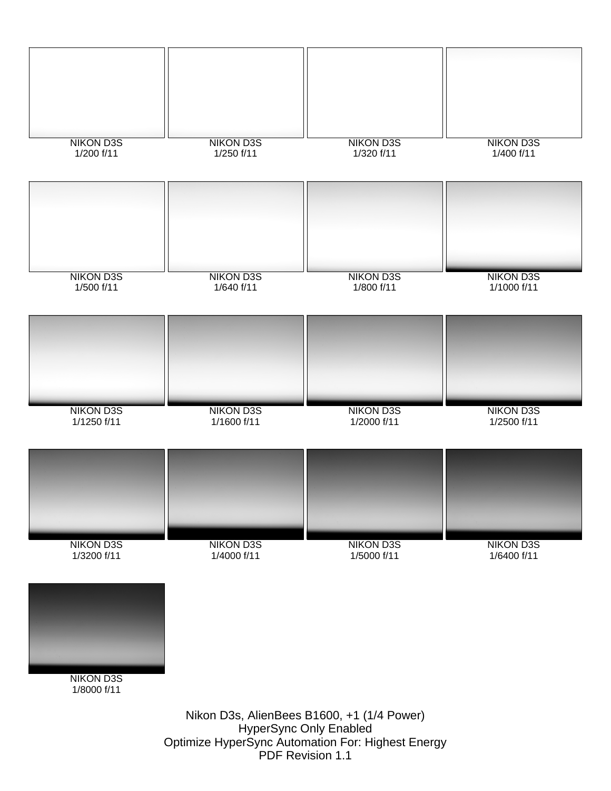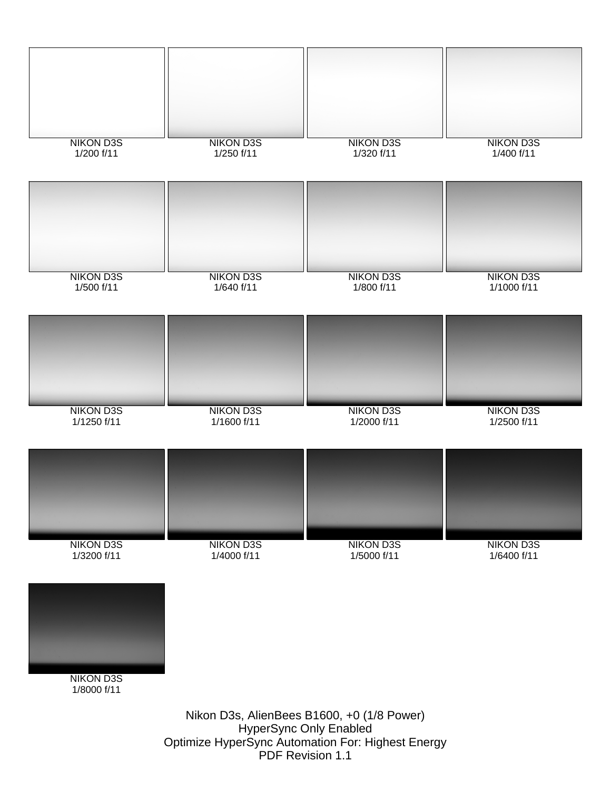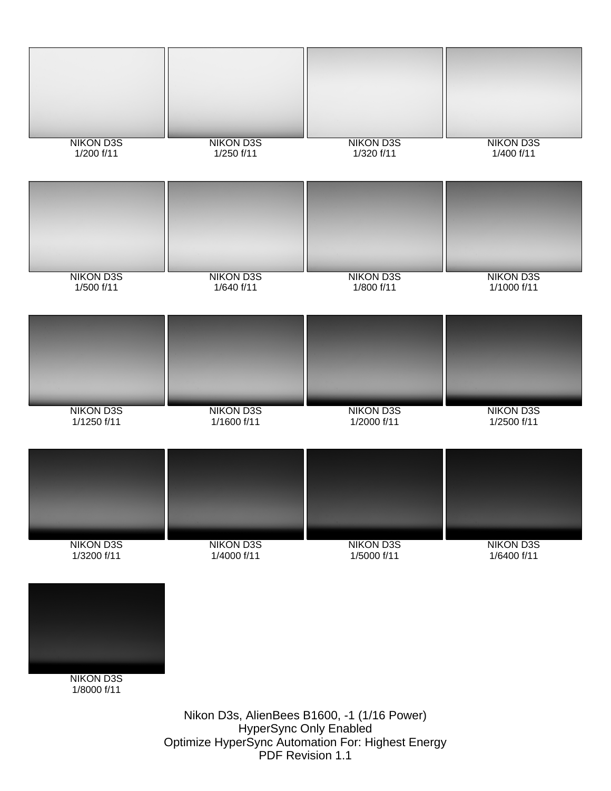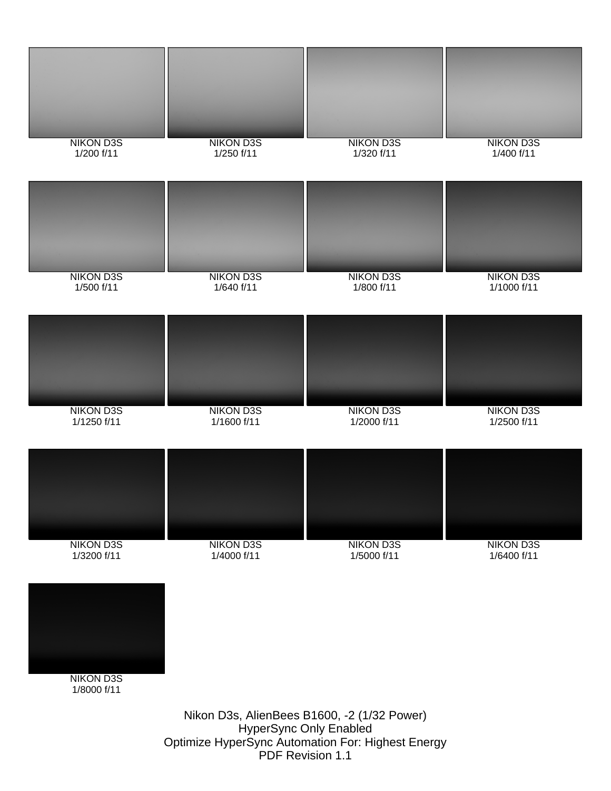